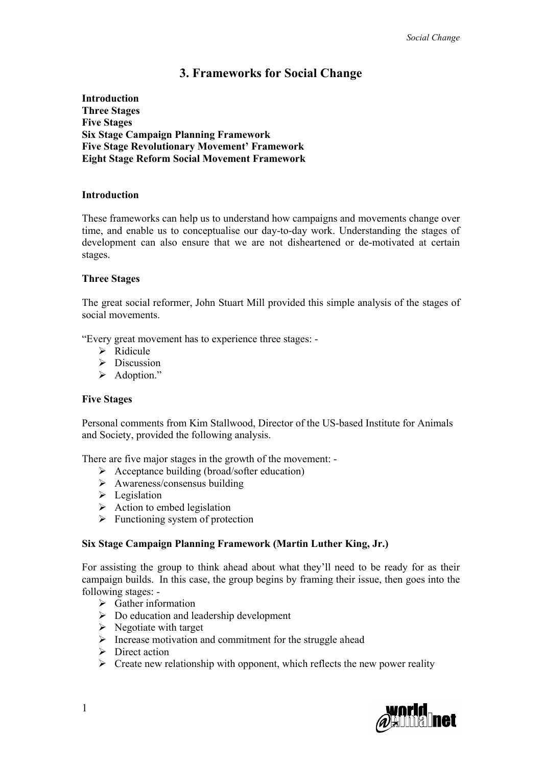# **3. Frameworks for Social Change**

**Introduction Three Stages Five Stages Six Stage Campaign Planning Framework Five Stage Revolutionary Movement' Framework Eight Stage Reform Social Movement Framework**

## **Introduction**

These frameworks can help us to understand how campaigns and movements change over time, and enable us to conceptualise our day-to-day work. Understanding the stages of development can also ensure that we are not disheartened or de-motivated at certain stages.

#### **Three Stages**

The great social reformer, John Stuart Mill provided this simple analysis of the stages of social movements.

"Every great movement has to experience three stages: -

- $\triangleright$  Ridicule
- $\triangleright$  Discussion
- > Adoption."

#### **Five Stages**

Personal comments from Kim Stallwood, Director of the US-based Institute for Animals and Society, provided the following analysis.

There are five major stages in the growth of the movement: -

- $\triangleright$  Acceptance building (broad/softer education)
- $\triangleright$  Awareness/consensus building
- $\triangleright$  Legislation
- $\triangleright$  Action to embed legislation
- $\triangleright$  Functioning system of protection

## **Six Stage Campaign Planning Framework (Martin Luther King, Jr.)**

For assisting the group to think ahead about what they'll need to be ready for as their campaign builds. In this case, the group begins by framing their issue, then goes into the following stages: -

- $\triangleright$  Gather information
- $\triangleright$  Do education and leadership development
- $\triangleright$  Negotiate with target
- $\triangleright$  Increase motivation and commitment for the struggle ahead
- $\triangleright$  Direct action
- $\triangleright$  Create new relationship with opponent, which reflects the new power reality

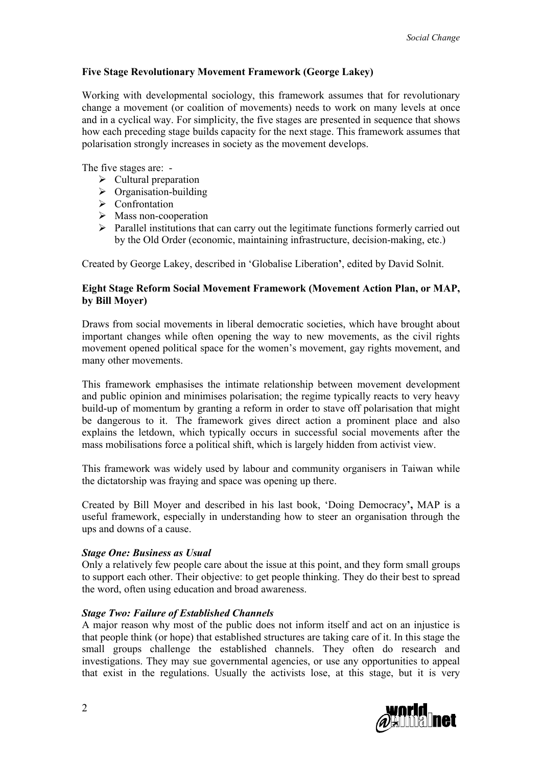## **Five Stage Revolutionary Movement Framework (George Lakey)**

Working with developmental sociology, this framework assumes that for revolutionary change a movement (or coalition of movements) needs to work on many levels at once and in a cyclical way. For simplicity, the five stages are presented in sequence that shows how each preceding stage builds capacity for the next stage. This framework assumes that polarisation strongly increases in society as the movement develops.

The five stages are: -

- $\triangleright$  Cultural preparation
- $\triangleright$  Organisation-building
- > Confrontation
- $\triangleright$  Mass non-cooperation
- $\triangleright$  Parallel institutions that can carry out the legitimate functions formerly carried out by the Old Order (economic, maintaining infrastructure, decision-making, etc.)

Created by George Lakey, described in '[Globalise Liberation](http://ctiylights.com/CLpub4th.html)**'**, edited by David Solnit.

## **Eight Stage Reform Social Movement Framework (Movement Action Plan, or MAP, by Bill Moyer)**

Draws from social movements in liberal democratic societies, which have brought about important changes while often opening the way to new movements, as the civil rights movement opened political space for the women's movement, gay rights movement, and many other movements.

This framework emphasises the intimate relationship between movement development and public opinion and minimises polarisation; the regime typically reacts to very heavy build-up of momentum by granting a reform in order to stave off polarisation that might be dangerous to it. The framework gives direct action a prominent place and also explains the letdown, which typically occurs in successful social movements after the mass mobilisations force a political shift, which is largely hidden from activist view.

This framework was widely used by labour and community organisers in Taiwan while the dictatorship was fraying and space was opening up there.

Created by Bill Moyer and described in his last book, '[Doing Democracy](http://trainingforchange.org/content/view/116/33/)**',** MAP is a useful framework, especially in understanding how to steer an organisation through the ups and downs of a cause.

## *Stage One: Business as Usual*

Only a relatively few people care about the issue at this point, and they form small groups to support each other. Their objective: to get people thinking. They do their best to spread the word, often using education and broad awareness.

## *Stage Two: Failure of Established Channels*

A major reason why most of the public does not inform itself and act on an injustice is that people think (or hope) that established structures are taking care of it. In this stage the small groups challenge the established channels. They often do research and investigations. They may sue governmental agencies, or use any opportunities to appeal that exist in the regulations. Usually the activists lose, at this stage, but it is very

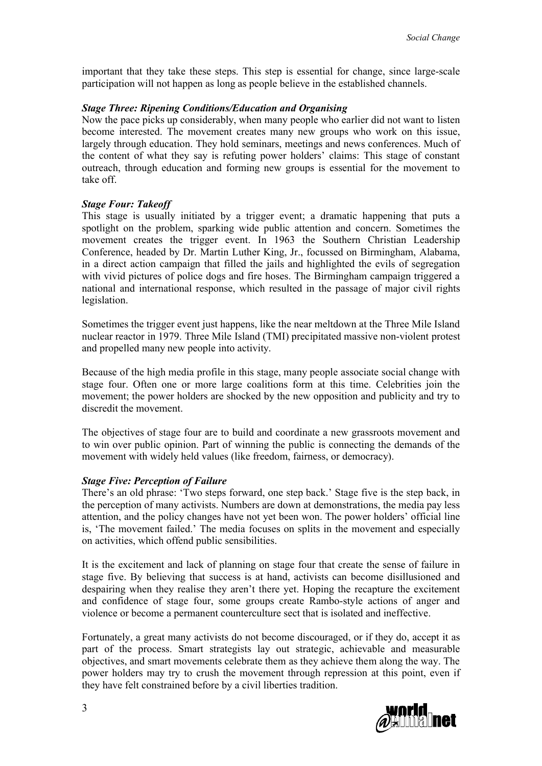important that they take these steps. This step is essential for change, since large-scale participation will not happen as long as people believe in the established channels.

#### *Stage Three: Ripening Conditions/Education and Organising*

Now the pace picks up considerably, when many people who earlier did not want to listen become interested. The movement creates many new groups who work on this issue, largely through education. They hold seminars, meetings and news conferences. Much of the content of what they say is refuting power holders' claims: This stage of constant outreach, through education and forming new groups is essential for the movement to take off.

#### *Stage Four: Takeoff*

This stage is usually initiated by a trigger event; a dramatic happening that puts a spotlight on the problem, sparking wide public attention and concern. Sometimes the movement creates the trigger event. In 1963 the Southern Christian Leadership Conference, headed by Dr. Martin Luther King, Jr., focussed on Birmingham, Alabama, in a direct action campaign that filled the jails and highlighted the evils of segregation with vivid pictures of police dogs and fire hoses. The Birmingham campaign triggered a national and international response, which resulted in the passage of major civil rights legislation.

Sometimes the trigger event just happens, like the near meltdown at the Three Mile Island nuclear reactor in 1979. Three Mile Island (TMI) precipitated massive non-violent protest and propelled many new people into activity.

Because of the high media profile in this stage, many people associate social change with stage four. Often one or more large coalitions form at this time. Celebrities join the movement; the power holders are shocked by the new opposition and publicity and try to discredit the movement.

The objectives of stage four are to build and coordinate a new grassroots movement and to win over public opinion. Part of winning the public is connecting the demands of the movement with widely held values (like freedom, fairness, or democracy).

#### *Stage Five: Perception of Failure*

There's an old phrase: 'Two steps forward, one step back.' Stage five is the step back, in the perception of many activists. Numbers are down at demonstrations, the media pay less attention, and the policy changes have not yet been won. The power holders' official line is, 'The movement failed.' The media focuses on splits in the movement and especially on activities, which offend public sensibilities.

It is the excitement and lack of planning on stage four that create the sense of failure in stage five. By believing that success is at hand, activists can become disillusioned and despairing when they realise they aren't there yet. Hoping the recapture the excitement and confidence of stage four, some groups create Rambo-style actions of anger and violence or become a permanent counterculture sect that is isolated and ineffective.

Fortunately, a great many activists do not become discouraged, or if they do, accept it as part of the process. Smart strategists lay out strategic, achievable and measurable objectives, and smart movements celebrate them as they achieve them along the way. The power holders may try to crush the movement through repression at this point, even if they have felt constrained before by a civil liberties tradition.

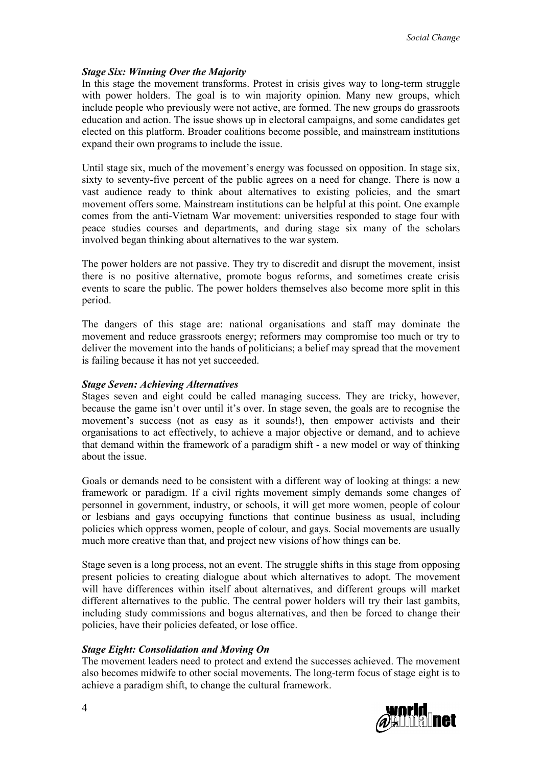#### *Stage Six: Winning Over the Majority*

In this stage the movement transforms. Protest in crisis gives way to long-term struggle with power holders. The goal is to win majority opinion. Many new groups, which include people who previously were not active, are formed. The new groups do grassroots education and action. The issue shows up in electoral campaigns, and some candidates get elected on this platform. Broader coalitions become possible, and mainstream institutions expand their own programs to include the issue.

Until stage six, much of the movement's energy was focussed on opposition. In stage six, sixty to seventy-five percent of the public agrees on a need for change. There is now a vast audience ready to think about alternatives to existing policies, and the smart movement offers some. Mainstream institutions can be helpful at this point. One example comes from the anti-Vietnam War movement: universities responded to stage four with peace studies courses and departments, and during stage six many of the scholars involved began thinking about alternatives to the war system.

The power holders are not passive. They try to discredit and disrupt the movement, insist there is no positive alternative, promote bogus reforms, and sometimes create crisis events to scare the public. The power holders themselves also become more split in this period.

The dangers of this stage are: national organisations and staff may dominate the movement and reduce grassroots energy; reformers may compromise too much or try to deliver the movement into the hands of politicians; a belief may spread that the movement is failing because it has not yet succeeded.

#### *Stage Seven: Achieving Alternatives*

Stages seven and eight could be called managing success. They are tricky, however, because the game isn't over until it's over. In stage seven, the goals are to recognise the movement's success (not as easy as it sounds!), then empower activists and their organisations to act effectively, to achieve a major objective or demand, and to achieve that demand within the framework of a paradigm shift - a new model or way of thinking about the issue.

Goals or demands need to be consistent with a different way of looking at things: a new framework or paradigm. If a civil rights movement simply demands some changes of personnel in government, industry, or schools, it will get more women, people of colour or lesbians and gays occupying functions that continue business as usual, including policies which oppress women, people of colour, and gays. Social movements are usually much more creative than that, and project new visions of how things can be.

Stage seven is a long process, not an event. The struggle shifts in this stage from opposing present policies to creating dialogue about which alternatives to adopt. The movement will have differences within itself about alternatives, and different groups will market different alternatives to the public. The central power holders will try their last gambits, including study commissions and bogus alternatives, and then be forced to change their policies, have their policies defeated, or lose office.

## *Stage Eight: Consolidation and Moving On*

The movement leaders need to protect and extend the successes achieved. The movement also becomes midwife to other social movements. The long-term focus of stage eight is to achieve a paradigm shift, to change the cultural framework.

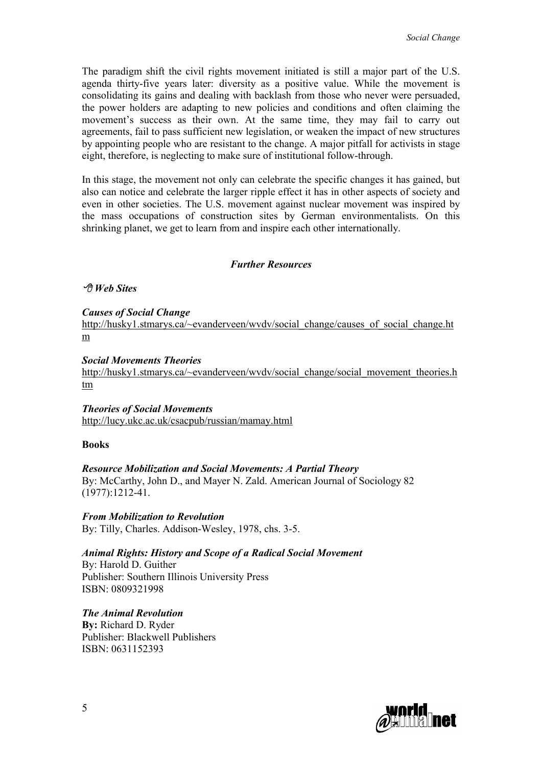The paradigm shift the civil rights movement initiated is still a major part of the U.S. agenda thirty-five years later: diversity as a positive value. While the movement is consolidating its gains and dealing with backlash from those who never were persuaded, the power holders are adapting to new policies and conditions and often claiming the movement's success as their own. At the same time, they may fail to carry out agreements, fail to pass sufficient new legislation, or weaken the impact of new structures by appointing people who are resistant to the change. A major pitfall for activists in stage eight, therefore, is neglecting to make sure of institutional follow-through.

In this stage, the movement not only can celebrate the specific changes it has gained, but also can notice and celebrate the larger ripple effect it has in other aspects of society and even in other societies. The U.S. movement against nuclear movement was inspired by the mass occupations of construction sites by German environmentalists. On this shrinking planet, we get to learn from and inspire each other internationally.

#### *Further Resources*

#### *Web Sites*

*Causes of Social Change*

[http://husky1.stmarys.ca/~evanderveen/wvdv/social\\_change/causes\\_of\\_social\\_change.ht](http://husky1.stmarys.ca/~evanderveen/wvdv/social_change/causes_of_social_change.htm) m

#### *Social Movements Theories*

[http://husky1.stmarys.ca/~evanderveen/wvdv/social\\_change/social\\_movement\\_theories.h](http://husky1.stmarys.ca/~evanderveen/wvdv/social_change/social_movement_theories.htm) [tm](http://husky1.stmarys.ca/~evanderveen/wvdv/social_change/social_movement_theories.htm)

*Theories of Social Movements*

http://lucy.ukc.ac.uk/csacpub/russian/mamay.html

#### **Books**

#### *Resource Mobilization and Social Movements: A Partial Theory*

By: McCarthy, John D., and Mayer N. Zald. American Journal of Sociology 82 (1977):1212-41.

*From Mobilization to Revolution* By: Tilly, Charles. Addison-Wesley, 1978, chs. 3-5.

#### *Animal Rights: History and Scope of a Radical Social Movement*

By: Harold D. Guither Publisher: Southern Illinois University Press ISBN: 0809321998

*The Animal Revolution* **By:** [Richard D. Ryder](http://www.amazon.co.uk/exec/obidos/search-handle-url/index=books-uk&field-author=Ryder%2C Richard D./202-3581422-8895825) Publisher: Blackwell Publishers ISBN: 0631152393